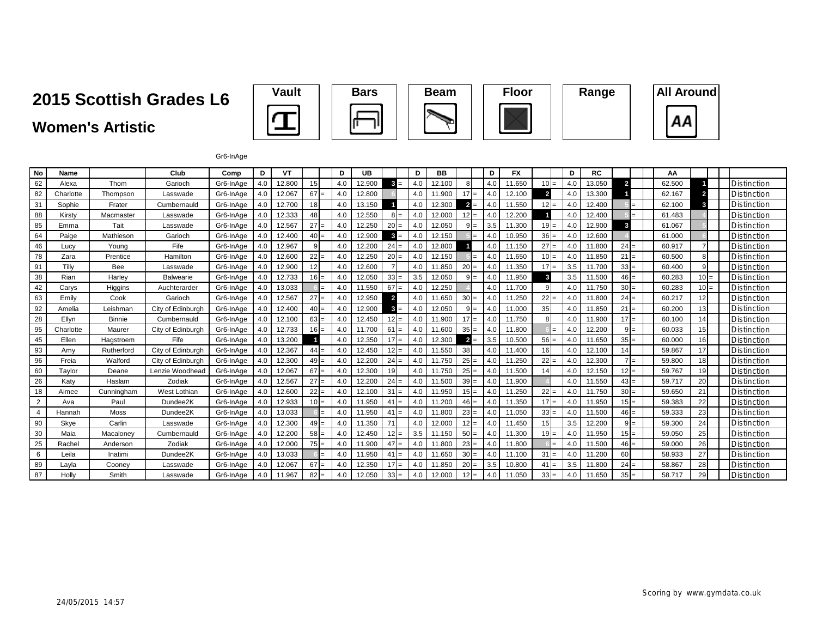# **2015 Scottish Grades L6**

### **Women's Artistic**







#### Gr6-InAge

| No             | Name      |               | Club              | Comp      | D   | VT     |           | D   | <b>UB</b> |                 | D   | <b>BB</b> |                        | D              | <b>FX</b> |                 | D   | <b>RC</b> |                | АΑ     |                |                    |
|----------------|-----------|---------------|-------------------|-----------|-----|--------|-----------|-----|-----------|-----------------|-----|-----------|------------------------|----------------|-----------|-----------------|-----|-----------|----------------|--------|----------------|--------------------|
| 62             | Alexa     | Thom          | Garioch           | Gr6-InAge | 4.0 | 12.800 | 15        | 4.0 | 12.900    | $3 =$           | 4.0 | 12.100    | 8                      | 4 <sub>c</sub> | 11.650    | $10 =$          | 4.0 | 13.050    | $\overline{2}$ | 62.500 |                | Distinction        |
| 82             | Charlotte | Thompson      | Lasswade          | Gr6-InAge | 4.0 | 12.067 | $67 =$    | 4.0 | 12.800    |                 | 4.0 | 11.900    | $17 =$                 | 4.0            | 12.100    | $\overline{2}$  | 4.0 | 13.300    |                | 62.167 | $\overline{2}$ | Distinction        |
| 31             | Sophie    | Frater        | Cumbernauld       | Gr6-InAge | 4.0 | 12.700 | 18        | 4.0 | 13.150    |                 | 4.0 | 12.300    | $\overline{2}$<br>$=$  | 4.C            | 11.550    | $12 =$          | 4.0 | 12.400    |                | 62.100 | 3              | Distinction        |
| 88             | Kirsty    | Macmaster     | Lasswade          | Gr6-InAge | 4.0 | 12.333 | 48        | 4.0 | 12.550    |                 | 4.0 | 12.000    | $12 =$                 | 4 <sub>c</sub> | 12.200    |                 | 4.0 | 12.400    |                | 61.483 |                | Distinction        |
| 85             | Emma      | Tait          | Lasswade          | Gr6-InAge | 4.0 | 12.567 | $27 =$    | 4.0 | 12.250    | $20 =$          | 4.0 | 12.050    | <sub>9</sub><br>$=$    | 3.5            | 11.300    | $19 =$          | 4.0 | 12.900    | 3              | 61.067 |                | Distinction        |
| 64             | Paige     | Mathieson     | Garioch           | Gr6-InAge | 4.0 | 12.400 | 40<br>$=$ | 4.0 | 12.900    |                 | 4.0 | 12.150    |                        | 4.0            | 10.950    | $36 =$          | 4.0 | 12.600    |                | 61.000 |                | Distinction        |
| 46             | Lucv      | Young         | Fife              | Gr6-InAge | 4.0 | 12.967 | 9         | 4.0 | 12.200    | $24 =$          | 4.0 | 12.800    |                        |                | 11.150    | $27 =$          | 4.0 | 11.800    | $24 =$         | 60.917 | $\overline{7}$ | Distinction        |
| 78             | Zara      | Prentice      | Hamilton          | Gr6-InAge | 4.0 | 12.600 | 22<br>$=$ | 4.0 | 12.250    | $20 =$          | 4.0 | 12.150    |                        | 4.0            | 11.650    | $10 =$          | 4.0 | 11.850    | 21<br>l=       | 60.500 | 8              | Distinction        |
| 91             | Tilly     | Bee           | Lasswade          | Gr6-InAge | 4.0 | 12.900 | 12        | 4.0 | 12.600    |                 | 4.0 | 11.850    | <b>20</b><br>$=$       | 4(             | 11.350    | 17 <sup>1</sup> | 3.5 | 11.700    | $33 =$         | 60.400 | 9              | Distinction        |
| 38             | Rian      | Harley        | <b>Balwearie</b>  | Gr6-InAge | 4.0 | 12.733 | 16<br>$=$ | 4.0 | 12.050    | 33 <sup>1</sup> | 3.5 | 12.050    | q<br>$=$               | 4.0            | 11.950    | 3               | 3.5 | 11.500    | $46 =$         | 60.283 | $10 =$         | Distinction        |
| 42             | Carys     | Higgins       | Auchterarder      | Gr6-InAge | 4.0 | 13.033 |           | 4.0 | 11.550    | 67              | 4.0 | 12.250    |                        | 4.0            | 11.700    | 9               | 4.0 | 11.750    | $30 =$         | 60.283 | $10 =$         | Distinction        |
| 63             | Emily     | Cook          | Garioch           | Gr6-InAge | 4.0 | 12.567 | 27<br>$=$ | 4.0 | 12.950    | 2               | 4.0 | 11.650    | 30 <sup>1</sup><br>$=$ | 4.0            | 11.250    | 22              | 4.0 | 11.800    | $24 =$         | 60.217 | 12             | Distinction        |
| 92             | Amelia    | Leishman      | City of Edinburgh | Gr6-InAge | 4.0 | 12.400 | 40<br>$=$ | 4.0 | 12.900    |                 | 4.0 | 12.050    | <sub>9</sub>           | 4.0            | 11.000    | 35              | 4.0 | 11.850    | $21 =$         | 60.200 | 13             | Distinction        |
| 28             | Ellyn     | <b>Binnie</b> | Cumbernauld       | Gr6-InAge | 4.0 | 12.100 | $63 =$    | 4.0 | 12.450    |                 | 4.0 | 11.900    | $17 =$                 | 4.0            | 11.750    | 8               | 4.0 | 11.900    | $17 =$         | 60.100 | 14             | <b>Distinction</b> |
| 95             | Charlotte | Maurer        | City of Edinburgh | Gr6-InAge | 4.0 | 12.733 | 16<br>$=$ | 4.0 | 11.700    | 61              | 4.0 | 11.600    | 35<br>$=$              | 4.C            | 11.800    |                 | 4.0 | 12.200    | $9 =$          | 60.033 | 15             | Distinction        |
| 45             | Ellen     | Hagstroem     | Fife              | Gr6-InAge | 4.0 | 13.200 |           | 4.0 | 12.350    | 17              | 4.0 | 12.300    | $\overline{2}$<br>$=$  | 3.5            | 10.500    | $56 =$          | 4.0 | 11.650    | $35 =$         | 60.000 | 16             | <b>Distinction</b> |
| 93             | Amy       | Rutherford    | City of Edinburgh | Gr6-InAge | 4.0 | 12.367 | 44        | 4.0 | 12.450    |                 | 4.0 | 11.550    | 38                     | 4.0            | 11.400    | 16              | 4.0 | 12.100    | 14             | 59.867 | 17             | <b>Distinction</b> |
| 96             | Freia     | Walford       | City of Edinburgh | Gr6-InAge | 4.0 | 12.300 | $49 =$    | 4.0 | 12.200    | $24 =$          | 4.0 | 11.750    | 25<br>$=$              | 4.0            | 11.250    | $22 =$          | 4.0 | 12.300    | $l =$          | 59.800 | 18             | <b>Distinction</b> |
| 60             | Taylor    | Deane         | Lenzie Woodhead   | Gr6-InAge | 4.0 | 12.067 | $67 =$    | 4.0 | 12.300    | 19              | 4.0 | 11.750    | $25 =$                 |                | 11.500    | 14              | 4.0 | 12.150    | $12 =$         | 59.767 | 19             | Distinction        |
| 26             | Katy      | Haslam        | Zodiak            | Gr6-InAge | 4.0 | 12.567 | $27 =$    | 4.0 | 12.200    | $24 =$          | 4.0 | 11.500    | 39<br>$=$              | 4.0            | 11.900    |                 | 4.0 | 11.550    | $43 =$         | 59.717 | 20             | <b>Distinction</b> |
| 18             | Aimee     | Cunningham    | West Lothian      | Gr6-InAge | 4.0 | 12.600 | $22 =$    | 4.0 | 12.100    | 31              | 4.0 | 11.950    | $15 =$                 |                | 11.250    | $22 =$          | 4.0 | 11.750    | $30 =$         | 59.650 | 21             | <b>Distinction</b> |
| $\overline{2}$ | Ava       | Paul          | Dundee2K          | Gr6-InAge | 4.0 | 12.933 | $10 =$    | 4.0 | 11.950    | 4 <sup>1</sup>  | 4.0 | 11.200    | 46<br>$=$              | 4.0            | 11.350    | $17 =$          | 4.0 | 11.950    | $15 =$         | 59.383 | 22             | Distinction        |
| 4              | Hannah    | <b>Moss</b>   | Dundee2K          | Gr6-InAge | 4.0 | 13.033 |           | 4.0 | 11.950    | 4.              | 4.0 | 11.800    | $23 =$                 |                | 11.050    | $33 =$          | 4.0 | 11.500    | $46 =$         | 59.333 | 23             | <b>Distinction</b> |
| 90             | Skye      | Carlin        | Lasswade          | Gr6-InAge | 4.0 | 12.300 | $49 =$    | 4.0 | 11.350    |                 | 4.0 | 12.000    | $12 =$                 | 4.0            | 11.450    | 15              | 3.5 | 12.200    | $9 =$          | 59.300 | 24             | <b>Distinction</b> |
| 30             | Maia      | Macaloney     | Cumbernauld       | Gr6-InAge | 4.0 | 12.200 | $58 =$    | 4.0 | 12.450    |                 | 3.5 | 11.150    | 50                     |                | 11.300    | $19 =$          | 4.0 | 11.950    | $15 =$         | 59.050 | 25             | <b>Distinction</b> |
| 25             | Rachel    | Anderson      | Zodiak            | Gr6-InAge | 4.0 | 12.000 | 75<br>=   | 4.0 | 11.900    | 47              | 4.0 | 11.800    | 23                     | 4.0            | 11.800    |                 | 4.0 | 11.500    | $46 =$         | 59.000 | 26             | <b>Distinction</b> |
| 6              | Leila     | Inatimi       | Dundee2K          | Gr6-InAge | 4.0 | 13.033 |           | 4.0 | 11.950    | 4.              | 4.0 | 11.650    | 30 <sup>l</sup>        | 4.0            | 11.100    | $31 =$          | 4.0 | 11.200    | 60             | 58.933 | 27             | Distinction        |
| 89             | Layla     | Cooney        | Lasswade          | Gr6-InAge | 4.0 | 12.067 | $67 =$    | 4.0 | 12.350    |                 | 4.0 | 11.850    | <b>20</b><br>$=$       | 3.5            | 10.800    | $41 =$          | 3.5 | 11.800    | $24 =$         | 58.867 | 28             | Distinction        |
| 87             | Holly     | Smith         | Lasswade          | Gr6-InAge | 4.0 | 11.967 | $82 =$    | 4.0 | 12.050    | $33 =$          | 4.0 | 12.000    | $12 =$                 |                | 11.050    | $33 =$          | 4.0 | 11.650    | $35 =$         | 58.717 | 29             | Distinction        |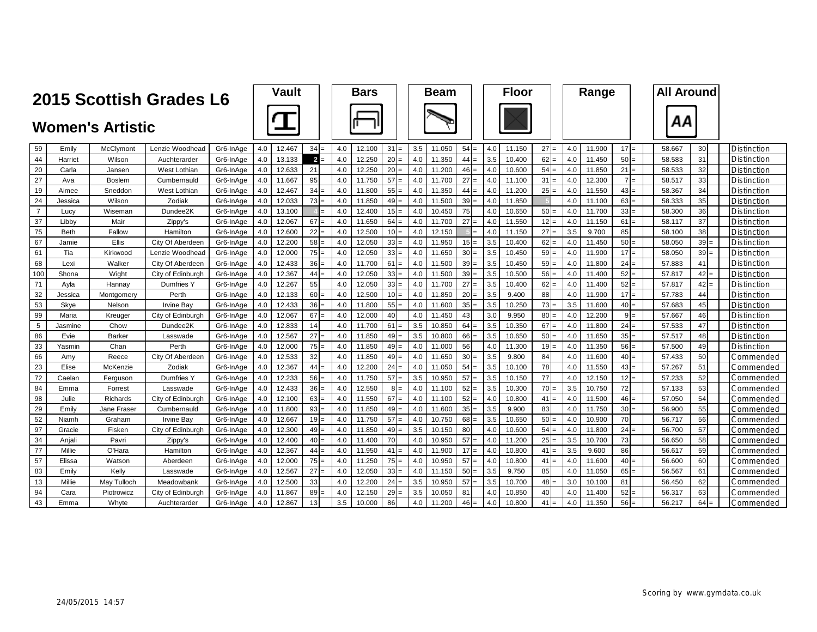|                | 2015 Scottish Grades L6 |               | <b>Vault</b>      |           |     | <b>Bars</b> |                |     | <b>Beam</b> |           |     | <b>Floor</b> |                |     | Range  |                 |     |        | <b>All Around</b> |        |        |        |                    |
|----------------|-------------------------|---------------|-------------------|-----------|-----|-------------|----------------|-----|-------------|-----------|-----|--------------|----------------|-----|--------|-----------------|-----|--------|-------------------|--------|--------|--------|--------------------|
|                | <b>Women's Artistic</b> |               |                   |           |     |             |                |     |             |           |     |              |                |     |        |                 |     |        |                   |        |        |        |                    |
| 59             | Emily                   | McClymont     | Lenzie Woodhead   | Gr6-InAge | 4.0 | 12.467      | $34 =$         | 4.0 | 12.100      | $31 =$    | 3.5 | 11.050       | $54 =$         | 4.0 | 11.150 | $27 =$          | 4.0 | 11.900 | $17 =$            | 58.667 |        | 30     | <b>Distinction</b> |
| 44             | Harriet                 | Wilson        | Auchterarder      | Gr6-InAge | 4.0 | 13.133      | $\overline{2}$ | 4.0 | 12.250      | $20 =$    | 4.0 | 11.350       | 44             | 3.5 | 10.400 | 62              | 4.0 | 11.450 | $50 =$            | 58.583 |        | 31     | Distinction        |
| 20             | Carla                   | Jansen        | West Lothian      | Gr6-InAge | 4.0 | 12.633      | 21             | 4.0 | 12.250      | $20 =$    | 4.0 | 11.200       | $46 =$         | 4.0 | 10.600 | 54:             | 4.0 | 11.850 | 21<br>l=          |        | 58.533 | 32     | <b>Distinction</b> |
| 27             | Ava                     | <b>Boslem</b> | Cumbernauld       | Gr6-InAge | 4.0 | 11.667      | 95             | 4.0 | 11.750      | 57<br>$=$ | 4.0 | 11.700       | 27<br>$\equiv$ | 4.0 | 11.100 | 31              | 4.0 | 12.300 | l=                | 58.517 |        | 33     | Distinction        |
| 19             | Aimee                   | Sneddon       | West Lothian      | Gr6-InAge | 4.0 | 12.467      | 34             | 4.0 | 11.800      | $55 =$    | 4.0 | 11.350       | 44<br>$=$      | 4.0 | 11.200 | 25              | 4.0 | 11.550 | $43 =$            |        | 58.367 | 34     | Distinction        |
| 24             | Jessica                 | Wilson        | Zodiak            | Gr6-InAge | 4.0 | 12.033      | 73             | 4.0 | 11.850      | $49 =$    | 4.0 | 11.500       | 39<br>$\equiv$ | 4.0 | 11.850 |                 | 4.0 | 11.100 | $63 =$            |        | 58.333 | 35     | <b>Distinction</b> |
| $\overline{7}$ | Lucy                    | Wiseman       | Dundee2K          | Gr6-InAge | 4.0 | 13.100      |                | 4.0 | 12.400      | $15 =$    | 4.0 | 10.450       | 75             | 4.0 | 10.650 | 50              | 4.0 | 11.700 | $33 =$            |        | 58.300 | 36     | <b>Distinction</b> |
| 37             | Libby                   | Mair          | Zippy's           | Gr6-InAge | 4.0 | 12.067      | 67             | 4.0 | 11.650      | $64 =$    | 4.0 | 11.700       | 27             | 4.0 | 11.550 | 12 <sup>1</sup> | 4.0 | 11.150 | 61                | 58.117 |        | 37     | Distinction        |
| 75             | <b>Beth</b>             | Fallow        | Hamilton          | Gr6-InAge | 4.0 | 12.600      | 22             | 4.0 | 12.500      | $10 =$    | 4.0 | 12.150       |                | 4.0 | 11.150 | 27              | 3.5 | 9.700  | 85                |        | 58.100 | 38     | Distinction        |
| 67             | Jamie                   | Ellis         | City Of Aberdeer  | Gr6-InAge | 4.0 | 12.200      | 58             | 4.0 | 12.050      | $33 =$    | 4.0 | 11.950       | $15 =$         | 3.5 | 10.400 | 62              | 4.0 | 11.450 | $50 =$            |        | 58.050 | 39     | Distinction        |
| 61             | Tia                     | Kirkwood      | Lenzie Woodhead   | Gr6-InAge | 4.0 | 12.000      | $75 =$         | 4.0 | 12.050      | $33 =$    | 4.0 | 11.650       | $30 =$         | 3.5 | 10.450 | 59              | 4.0 | 11.900 | $17 =$            |        | 58.050 | $39 =$ | Distinction        |
| 68             | Lexi                    | Walker        | City Of Aberdeer  | Gr6-InAge | 4.0 | 12.433      | 36             | 4.0 | 11.700      | 61<br>$=$ | 4.0 | 11.500       | 39             | 3.5 | 10.450 | 59              | 4.0 | 11.800 | 24                |        | 57.883 | 41     | Distinction        |
| 100            | Shona                   | Wight         | City of Edinburgh | Gr6-InAge | 4.0 | 12.367      | 44             | 4.0 | 12.050      | $33 =$    | 4.0 | 11.500       | $39 =$         | 3.5 | 10.500 | 56:             | 4.0 | 11.400 | $52 =$            | 57.817 |        | $42 =$ | Distinction        |
| 71             | Ayla                    | Hannay        | Dumfries Y        | Gr6-InAge | 4.0 | 12.267      | 55             | 4.0 | 12.050      | $33 =$    | 4.0 | 11.700       | 27<br>$\equiv$ | 3.5 | 10.400 | 62              | 4.0 | 11.400 | $52 =$            | 57.817 |        | $42 =$ | Distinction        |
| 32             | Jessica                 | Montaomerv    | Perth             | Gr6-InAge | 4.0 | 12.133      | 60             | 4.0 | 12.500      | $10 =$    | 4.0 | 11.850       | 20             | 3.5 | 9.400  | 88              | 4.0 | 11.900 | 17<br>$=$         |        | 57.783 | 44     | Distinction        |
| 53             | Skye                    | Nelson        | <b>Irvine Bay</b> | Gr6-InAge | 4.0 | 12.433      | 36             | 4.0 | 11.800      | $55 =$    | 4.0 | 11.600       | $35 =$         | 3.5 | 10.250 | 73:             | 3.5 | 11.600 | $40 =$            |        | 57.683 | 45     | Distinction        |
| 99             | Maria                   | Kreuger       | City of Edinburgh | Gr6-InAge | 4.0 | 12.067      | 67             | 4.0 | 12.000      | 40        | 4.0 | 11.450       | 43             | 3.0 | 9.950  | 80              | 4.0 | 12.200 | $9 =$             | 57.667 |        | 46     | Distinction        |
| 5              | Jasmine                 | Chow          | Dundee2K          | Gr6-InAge | 4.0 | 12.833      | 14             | 4.0 | 11.700      | 61<br>l=  | 3.5 | 10.850       | 64             | 3.5 | 10.350 | 67              | 4.0 | 11.800 | $24 =$            |        | 57.533 | 47     | Distinction        |
| 86             | Evie                    | Barker        | Lasswade          | Gr6-InAge | 4.0 | 12.567      | 27             | 4.0 | 11.850      | $49 =$    | 3.5 | 10.800       | 66             | 3.5 | 10.650 | 50              | 4.0 | 11.650 | $35 =$            | 57.517 |        | 48     | Distinction        |
| 33             | Yasmin                  | Chan          | Perth             | Gr6-InAge | 4.0 | 12.000      | $75 =$         | 4.0 | 11.850      | $49 =$    | 4.0 | 11.000       | 56             | 4.0 | 11.300 | 19              | 4.0 | 11.350 | $56 =$            |        | 57.500 | 49     | Distinction        |
| 66             | Amy                     | Reece         | City Of Aberdeen  | Gr6-InAge | 4.0 | 12.533      | 32             | 4.0 | 11.850      | $49 =$    | 4.0 | 11.650       | 30             | 3.5 | 9.800  | 84              | 4.0 | 11.600 | $40 =$            |        | 57.433 | 50     | Commended          |
| 23             | Elise                   | McKenzie      | Zodiak            | Gr6-InAge | 4.0 | 12.367      | 44             | 4.0 | 12.200      | $24 =$    | 4.0 | 11.050       | 54             | 3.5 | 10.100 | 78              | 4.0 | 11.550 | $43 =$            |        | 57.267 | 51     | Commended          |
| 72             | Caelan                  | Ferguson      | Dumfries Y        | Gr6-InAge | 4.0 | 12.233      | 56             | 4.0 | 11.750      | 57<br>l=  | 3.5 | 10.950       | 57<br>$=$      | 3.5 | 10.150 | 77              | 4.0 | 12.150 | 12<br>l=          |        | 57.233 | 52     | Commended          |
| 84             | Emma                    | Forrest       | Lasswade          | Gr6-InAge | 4.0 | 12.433      | 36             | 4.0 | 12.550      | $8 =$     | 4.0 | 11.100       | 52             | 3.5 | 10.300 | 70              | 3.5 | 10.750 | 72                |        | 57.133 | 53     | Commended          |
| 98             | Julie                   | Richards      | City of Edinburgh | Gr6-InAge | 4.0 | 12.100      | 63             | 4.0 | 11.550      | $67 =$    | 4.0 | 11.100       | 52             | 4.0 | 10.800 | 41              | 4.0 | 11.500 | $46 =$            |        | 57.050 | 54     | Commended          |
| 29             | Emily                   | Jane Fraseı   | Cumbernauld       | Gr6-InAge | 4.0 | 11.800      | 93             | 4.0 | 11.850      | $49 =$    | 4.0 | 11.600       | 35             | 3.5 | 9.900  | 83              | 4.0 | 11.750 | $30 =$            |        | 56.900 | 55     | Commended          |
| 52             | Niamh                   | Graham        | <b>Irvine Bay</b> | Gr6-InAge | 4.0 | 12.667      | 19             | 4.0 | 11.750      | 57<br>$=$ | 4.0 | 10.750       | 68             | 3.5 | 10.650 | 50              | 4.0 | 10.900 | 70                | 56.717 |        | 56     | Commended          |
| 97             | Gracie                  | Fisken        | City of Edinburgh | Gr6-InAge | 4.0 | 12.300      | $49 =$         | 4.0 | 11.850      | $49 =$    | 3.5 | 10.150       | 80             | 4.0 | 10.600 | $54 =$          | 4.0 | 11.800 | $24 =$            |        | 56.700 | 57     | Commended          |
| 34             | Anjali                  | Pavri         | Zippy's           | Gr6-InAge | 4.0 | 12.400      | 40             | 4.0 | 11.400      | 70        | 4.0 | 10.950       | 57             | 4.0 | 11.200 | 25              | 3.5 | 10.700 | 73                |        | 56.650 | 58     | Commended          |
| 77             | Millie                  | O'Hara        | Hamilton          | Gr6-InAge | 4.0 | 12.367      | 44             | 4.0 | 11.950      | 41<br>$=$ | 4.0 | 11.900       | $17 =$         | 4.0 | 10.800 | $41 =$          | 3.5 | 9.600  | 86                | 56.617 |        | 59     | Commended          |
| 57             | Elissa                  | Watson        | Aberdeen          | Gr6-InAge | 4.0 | 12.000      | $75 =$         | 4.0 | 11.250      | $75 =$    | 4.0 | 10.950       | 57             | 4.0 | 10.800 | 41              | 4.0 | 11.600 | $40 =$            |        | 56.600 | 60     | Commended          |
| 83             | Emily                   | Kelly         | Lasswade          | Gr6-InAge | 4.0 | 12.567      | 27             | 4.0 | 12.050      | $33 =$    | 4.0 | 11.150       | 50             | 3.5 | 9.750  | 85              | 4.0 | 11.050 | 65                | 56.567 |        | 61     | Commended          |
| 13             | Millie                  | May Tulloch   | Meadowbank        | Gr6-InAge | 4.0 | 12.500      | 33             | 4.0 | 12.200      | $24 =$    | 3.5 | 10.950       | 57             | 3.5 | 10.700 | 48              | 3.0 | 10.100 | 81                |        | 56.450 | 62     | Commended          |
| 94             | Cara                    | Piotrowicz    | City of Edinburgl | Gr6-InAge | 4.0 | 11.867      | 89             | 4.0 | 12.150      | $29 =$    | 3.5 | 10.050       | 81             | 4.0 | 10.850 | 40              | 4.0 | 11.400 | $52 =$            | 56.317 |        | 63     | Commended          |
| 43             | Emma                    | Whyte         | Auchterarder      | Gr6-InAge | 4.0 | 12.867      | 13             | 3.5 | 10.000      | 86        | 4.0 | 11.200       | 46<br>$=$      | 4.0 | 10.800 | 41              | 4.0 | 11.350 | 56                |        | 56.217 | 64     | Commended          |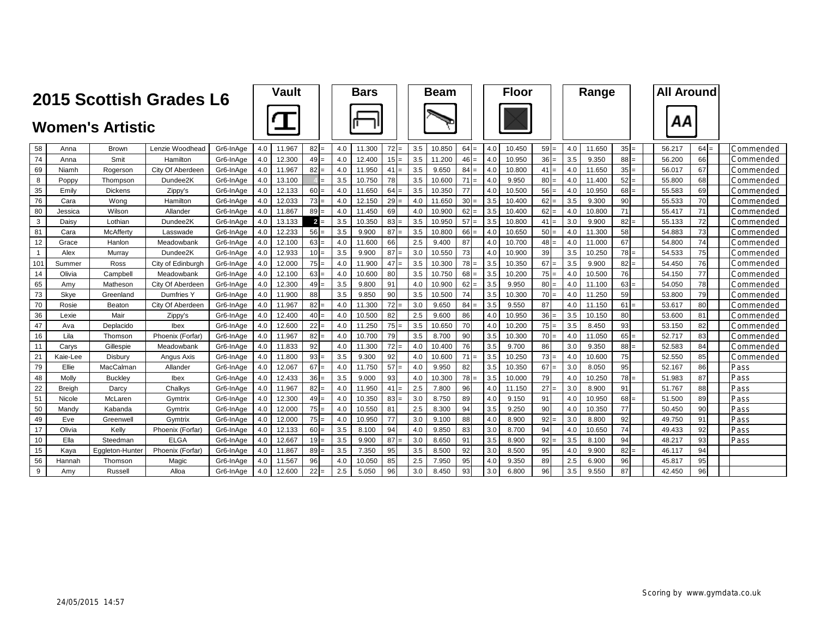|                | 2015 Scottish Grades L6 |                         |                   |           |     | Vault  |                 |     | <b>Bars</b> |           |     | <b>Beam</b> |                |     | <b>Floor</b> |                 |     | Range  |           | <b>All Around</b> |           |      |            |
|----------------|-------------------------|-------------------------|-------------------|-----------|-----|--------|-----------------|-----|-------------|-----------|-----|-------------|----------------|-----|--------------|-----------------|-----|--------|-----------|-------------------|-----------|------|------------|
|                |                         | <b>Women's Artistic</b> |                   |           |     |        |                 |     |             |           |     |             |                |     |              |                 |     |        |           | ΑА                |           |      |            |
| 58             | Anna                    | <b>Brown</b>            | Lenzie Woodhead   | Gr6-InAge | 4.0 | 11.967 | 82              | 4.0 | 11.300      | $72 =$    | 3.5 | 10.850      | 64             | 4.0 | 10.450       | 59              | 4.0 | 11.650 | $35 =$    | 56.217            | 64<br>$=$ |      | Commended  |
| 74             | Anna                    | Smit                    | Hamilton          | Gr6-InAge | 4.0 | 12.300 | 49              | 4.0 | 12.400      | $15 =$    | 3.5 | 11.200      | 46             | 4.0 | 10.950       | 36              | 3.5 | 9.350  | $88 =$    | 56.200            | 66        |      | Commended  |
| 69             | Niamh                   | Rogerson                | City Of Aberdeer  | Gr6-InAge | 4.0 | 11.967 | 82              | 4.0 | 11.950      | 41<br>$=$ | 3.5 | 9.650       | 84<br>$=$      | 4.0 | 10.800       | 41              | 4.0 | 11.650 | $35 =$    | 56.017            | 67        |      | Commended  |
| 8              | Poppy                   | Thompson                | Dundee2K          | Gr6-InAge | 4.0 | 13.100 |                 | 3.5 | 10.750      | 78        | 3.5 | 10.600      | 71<br>$\equiv$ | 4.0 | 9.950        | 80.             | 4.0 | 11.400 | $52 =$    | 55.800            | 68        |      | Commended  |
| 35             | Emily                   | <b>Dickens</b>          | Zippy's           | Gr6-InAge | 4.0 | 12.133 | 60I             | 4.0 | 11.650      | 64<br>$=$ | 3.5 | 10.350      | 77             | 4.0 | 10.500       | 56              | 4.0 | 10.950 | $68 =$    | 55.583            | 69        |      | Commended  |
| 76             | Cara                    | Wong                    | Hamilton          | Gr6-InAge | 4.0 | 12.033 | 73              | 4.0 | 12.150      | $29 =$    | 4.0 | 11.650      | 30             | 3.5 | 10.400       | 62              | 3.5 | 9.300  | 90        | 55.533            | 70        |      | Commended  |
| 80             | Jessica                 | Wilson                  | Allander          | Gr6-InAge | 4.0 | 11.867 | 89              | 4.0 | 11.450      | 69        | 4.0 | 10.900      | 62<br>$\equiv$ | 3.5 | 10.400       | 62              | 4.0 | 10.800 | 71        | 55.417            | 71        |      | Commended  |
| $\mathbf{3}$   | Daisy                   | Lothian                 | Dundee2K          | Gr6-InAge | 4.0 | 13.133 | $\overline{2}$  | 3.5 | 10.350      | 83<br>$=$ | 3.5 | 10.950      | 57             | 3.5 | 10.800       | 41              | 3.0 | 9.900  | 82<br>l=  | 55.133            | 72        |      | Commended  |
| 81             | Cara                    | McAfferty               | Lasswade          | Gr6-InAge | 4.0 | 12.233 | 56              | 3.5 | 9.900       | 87<br>$=$ | 3.5 | 10.800      | 66             | 4.0 | 10.650       | 50              | 4.0 | 11.300 | 58        | 54.883            | 73        |      | Commended  |
| 12             | Grace                   | Hanlon                  | Meadowbank        | Gr6-InAge | 4.0 | 12.100 | 63              | 4.0 | 11.600      | 66        | 2.5 | 9.400       | 87             | 4.0 | 10.700       | 48              | 4.0 | 11.000 | 67        | 54.800            | 74        |      | Commended  |
| $\overline{1}$ | Alex                    | Murray                  | Dundee2K          | Gr6-InAge | 4.0 | 12.933 | 10 <sup>1</sup> | 3.5 | 9.900       | 87<br>$=$ | 3.0 | 10.550      | 73             | 4.0 | 10.900       | 39              | 3.5 | 10.250 | $78 =$    | 54.533            | 75        |      | Commended  |
| 101            | Summer                  | Ross                    | City of Edinburgh | Gr6-InAge | 4.0 | 12.000 | 75              | 4.0 | 11.900      | 47<br>$=$ | 3.5 | 10.300      | 78             | 3.5 | 10.350       | 67              | 3.5 | 9.900  | 82<br>$=$ | 54.450            | 76        |      | Commended  |
| 14             | Olivia                  | Campbell                | Meadowbank        | Gr6-InAge | 4.0 | 12.100 | 63              | 4.0 | 10.600      | 80        | 3.5 | 10.750      | 68<br>$\equiv$ | 3.5 | 10.200       | 75              | 4.0 | 10.500 | 76        | 54.150            | 77        |      | Commended  |
| 65             | Amv                     | Matheson                | City Of Aberdeen  | Gr6-InAge | 4.0 | 12.300 | 49              | 3.5 | 9.800       | 91        | 4.0 | 10.900      | 62<br>$\equiv$ | 3.5 | 9.950        | 80 <sub>1</sub> | 4.0 | 11.100 | 63<br>$=$ | 54.050            | 78        |      | Commended  |
| 73             | Skye                    | Greenland               | Dumfries Y        | Gr6-InAge | 4.0 | 11.900 | 88              | 3.5 | 9.850       | 90        | 3.5 | 10.500      | 74             | 3.5 | 10.300       | 70              | 4.0 | 11.250 | 59        | 53.800            | 79        |      | Commended  |
| 70             | Rosie                   | Beaton                  | City Of Aberdeen  | Gr6-InAge | 4.0 | 11.967 | <b>82</b>       | 4.0 | 11.300      | 72<br>$=$ | 3.0 | 9.650       | 84             | 3.5 | 9.550        | 87              | 4.0 | 11.150 | 61<br>$=$ | 53.617            | 80        |      | Commended  |
| 36             | Lexie                   | Mair                    | Zippy's           | Gr6-InAge | 4.0 | 12.400 | 40              | 4.0 | 10.500      | 82        | 2.5 | 9.600       | 86             | 4.0 | 10.950       | 36              | 3.5 | 10.150 | 80        | 53.600            | 81        |      | Commended  |
| 47             | Ava                     | Deplacido               | Ibex              | Gr6-InAge | 4.0 | 12.600 | 22              | 4.0 | 11.250      | $75 =$    | 3.5 | 10.650      | 70             | 4.0 | 10.200       | $75 =$          | 3.5 | 8.450  | 93        | 53.150            | 82        |      | Commended  |
| 16             | Lila                    | Thomson                 | Phoenix (Forfar   | Gr6-InAge | 4.0 | 11.967 | 82              | 4.0 | 10.700      | 79        | 3.5 | 8.700       | 90             | 3.5 | 10.300       | 70:             | 4.0 | 11.050 | $65 =$    | 52.717            | 83        |      | Commended: |
| 11             | Carys                   | Gillespie               | Meadowbank        | Gr6-InAge | 4.0 | 11.833 | 92              | 4.0 | 11.300      | 72<br>$=$ | 4.0 | 10.400      | 76             | 3.5 | 9.700        | 86              | 3.0 | 9.350  | $88 =$    | 52.583            | 84        |      | Commended  |
| 21             | Kaie-Lee                | Disbury                 | Angus Axis        | Gr6-InAae | 4.0 | 11.800 | 93              | 3.5 | 9.300       | 92        | 4.0 | 10.600      | 71<br>$\equiv$ | 3.5 | 10.250       | $73 =$          | 4.0 | 10.600 | 75        | 52.550            | 85        |      | Commended  |
| 79             | Ellie                   | MacCalman               | Allander          | Gr6-InAge | 4.0 | 12.067 | 67<br>Ξ         | 4.0 | 11.750      | 57<br>l=  | 4.0 | 9.950       | 82             | 3.5 | 10.350       | 67              | 3.0 | 8.050  | 95        | 52.167            | 86        | Pass |            |
| 48             | Molly                   | <b>Buckley</b>          | Ibex              | Gr6-InAae | 4.0 | 12.433 | 36              | 3.5 | 9.000       | 93        | 4.0 | 10.300      | 78<br>Ξ        | 3.5 | 10.000       | 79              | 4.0 | 10.250 | $78 =$    | 51.983            | 87        | Pass |            |
| 22             | <b>Breigh</b>           | Darcy                   | Chalkys           | Gr6-InAge | 4.0 | 11.967 | 82              | 4.0 | 11.950      | 41<br>$=$ | 2.5 | 7.800       | 96             | 4.0 | 11.150       | 27              | 3.0 | 8.900  | 91        | 51.767            | 88        | Pass |            |
| 51             | Nicole                  | McLaren                 | Gymtrix           | Gr6-InAge | 4.0 | 12.300 | 49              | 4.0 | 10.350      | 83<br>$=$ | 3.0 | 8.750       | 89             | 4.0 | 9.150        | 91              | 4.0 | 10.950 | 68        | 51.500            | 89        | Pass |            |
| 50             | Mandy                   | Kabanda                 | Gymtrix           | Gr6-InAge | 4.0 | 12.000 | $75 =$          | 4.0 | 10.550      | 81        | 2.5 | 8.300       | 94             | 3.5 | 9.250        | 90              | 4.0 | 10.350 | 77        | 50.450            | 90        | Pass |            |
| 49             | Eve                     | Greenwell               | Gymtrix           | Gr6-InAge | 4.0 | 12.000 | $75 =$          | 4.0 | 10.950      | 77        | 3.0 | 9.100       | 88             | 4.0 | 8.900        | 92              | 3.0 | 8.800  | 92        | 49.750            | 91        | Pass |            |
| 17             | Olivia                  | Kelly                   | Phoenix (Forfar)  | Gr6-InAge | 4.0 | 12.133 | $60 =$          | 3.5 | 8.100       | 94        | 4.0 | 9.850       | 83             | 3.0 | 8.700        | 94              | 4.0 | 10.650 | 74        | 49.433            | 92        | Pass |            |
| 10             | Ella                    | Steedman                | <b>ELGA</b>       | Gr6-InAae | 4.0 | 12.667 | $19 =$          | 3.5 | 9.900       | 87<br>l=  | 3.0 | 8.650       | 91             | 3.5 | 8.900        | $92 =$          | 3.5 | 8.100  | 94        | 48.217            | 93        | Pass |            |
| 15             | Kava                    | Eggleton-Hunte          | Phoenix (Forfar)  | Gr6-InAge | 4.0 | 11.867 | 89I             | 3.5 | 7.350       | 95        | 3.5 | 8.500       | 92             | 3.0 | 8.500        | 95              | 4.0 | 9.900  | 82        | 46.117            | 94        |      |            |
| 56             | Hannah                  | Thomsor                 | Magic             | Gr6-InAge | 4.0 | 11.567 | 96              | 4.0 | 10.050      | 85        | 2.5 | 7.950       | 95             | 4.0 | 9.350        | 89              | 2.5 | 6.900  | 96        | 45.817            | 95        |      |            |
| 9              | Amv                     | Russell                 | Alloa             | Gr6-InAge | 4.0 | 12.600 | 22              | 2.5 | 5.050       | 96        | 3.0 | 8.450       | 93             | 3.0 | 6.800        | 96              | 3.5 | 9.550  | 87        | 42.450            | 96        |      |            |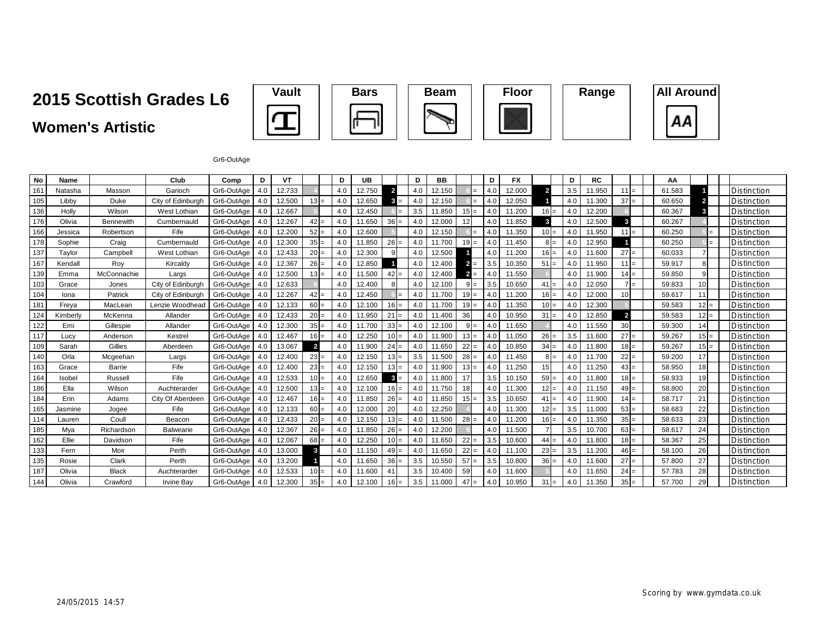## **2015 Scottish Grades L6**

## **Women's Artistic**









Gr6-OutAge

| <b>No</b> | Name     |               | Club              | Comp       | D   | <b>VT</b> |                | D   | <b>UB</b> |                | D   | <b>BB</b> |                       | D              | FX     |                | D   | RC     |                 | АА     |                |                    |
|-----------|----------|---------------|-------------------|------------|-----|-----------|----------------|-----|-----------|----------------|-----|-----------|-----------------------|----------------|--------|----------------|-----|--------|-----------------|--------|----------------|--------------------|
| 161       | Natasha  | Masson        | Garioch           | Gr6-OutAge | 4.0 | 12.733    |                | 4.0 | 12.750    | $\overline{2}$ | 4.0 | 12.150    | =                     | 4 <sub>c</sub> | 12.000 | $\overline{2}$ | 3.5 | 11.950 | $111 =$         | 61.583 |                | Distinction        |
| 105       | Libby    | Duke          | City of Edinburgh | Gr6-OutAge | 4.0 | 12.500    | $13 =$         | 4.0 | 12.650    | $=$            | 4.0 | 12.150    | $=$                   | 4.0            | 12.050 |                | 4.0 | 11.300 | $37 =$          | 60.650 | $\overline{2}$ | <b>Distinction</b> |
| 136       | Holly    | Wilson        | West Lothian      | Gr6-OutAge | 4.0 | 12.667    |                | 4.0 | 12.450    |                | 3.5 | 11.850    | $15 =$                | 4.0            | 11.200 | $16 =$         | 4.0 | 12,200 |                 | 60.367 | $\mathbf{3}$   | Distinction        |
| 176       | Olivia   | Bennewith     | Cumbernauld       | Gr6-OutAge | 4.0 | 12.267    | $42 =$         | 4.0 | 11.650    | $36 =$         | 4.0 | 12.000    | 12                    | 4.0            | 11.850 | 3              | 4.0 | 12.500 |                 | 60.267 |                | <b>Distinction</b> |
| 166       | Jessica  | Robertson     | Fife              | Gr6-OutAge | 4.0 | 12.200    | $52 =$         | 4.0 | 12.600    |                | 4.0 | 12.150    |                       | 4.0            | 11.350 | $10 =$         | 4.0 | 11.950 | $11 =$          | 60.250 |                | Distinction        |
| 178       | Sophie   | Craig         | Cumbernauld       | Gr6-OutAge | 4.0 | 12.300    | $35 =$         | 4.0 | 11.850    | $26 =$         | 4.0 | 11.700    | $19 =$                | 4.0            | 11.450 | $8 =$          | 4.0 | 12.950 |                 | 60.250 |                | Distinction        |
| 137       | Taylor   | Campbell      | West Lothian      | Gr6-OutAge | 4.0 | 12.433    | $20 =$         | 4.0 | 12.300    |                | 4.0 | 12.500    |                       | 4.0            | 11.200 | $16 =$         | 4.0 | 11.600 | $27 =$          | 60.033 |                | Distinction        |
| 167       | Kendall  | Roy           | Kircaldy          | Gr6-OutAge | 4.0 | 12.367    | $26 =$         | 4.0 | 12.850    |                | 4.0 | 12.400    | $2 =$                 | 3.5            | 10.350 | $51 =$         | 4.0 | 11.950 | $11 =$          | 59.917 | 8              | <b>Distinction</b> |
| 139       | Emma     | McConnachie   | Largs             | Gr6-OutAge | 4.0 | 12.500    | $13 =$         | 4.0 | 11.500    | $42 =$         | 4.0 | 12.400    | $\overline{2}$<br>$=$ | 4.0            | 11.550 |                | 4.0 | 11.900 | $14 =$          | 59.850 | 9              | Distinction        |
| 103       | Grace    | Jones         | City of Edinburgh | Gr6-OutAge | 4.0 | 12.633    |                | 4.0 | 12.400    |                | 4.0 | 12.100    | 9<br>$=$              | 3.5            | 10.650 | $41 =$         | 4.0 | 12.050 | $7 =$           | 59.833 | 10             | <b>Distinction</b> |
| 104       | Iona     | Patrick       | City of Edinburgh | Gr6-OutAge | 4.0 | 12.267    | $42 =$         | 4.0 | 12.450    | $=$            | 4.0 | 11.700    | $19 =$                | 4.0            | 11.200 | $16 =$         | 4.0 | 12.000 | 10 <sup>1</sup> | 59.617 | 11             | Distinction        |
| 181       | Freva    | MacLean       | Lenzie Woodhead   | Gr6-OutAge | 4.0 | 12.133    | $60 =$         | 4.0 | 12.100    | $16 =$         | 4.0 | 11.700    | $19 =$                | 4.0            | 11.350 | $10 =$         | 4.0 | 12.300 |                 | 59.583 | $12 =$         | <b>Distinction</b> |
| 124       | Kimberlv | McKenna       | Allander          | Gr6-OutAge | 4.0 | 12.433    | $20 =$         | 4.0 | 11.950    | $21 =$         | 4.0 | 11.400    | 36                    | 4.0            | 10.950 | $31 =$         | 4.0 | 12.850 | $\overline{2}$  | 59.583 | $12 =$         | <b>Distinction</b> |
| 122       | Emi      | Gillespie     | Allander          | Gr6-OutAge | 4.0 | 12.300    | $35 =$         | 4.0 | 11.700    | $33 =$         | 4.0 | 12.100    | $9 =$                 | 4.0            | 11.650 |                | 4.0 | 11.550 | 30 <sup>1</sup> | 59.300 | 14             | <b>Distinction</b> |
| 117       | Lucv     | Anderson      | Kestrel           | Gr6-OutAge | 4.0 | 12.467    | $16 =$         | 4.0 | 12.250    | $10 =$         | 4.0 | 11.900    | $13 =$                | 4.0            | 11.050 | $26 =$         | 3.5 | 11.600 | $27 =$          | 59.267 | $15 =$         | Distinction        |
| 109       | Sarah    | Gillies       | Aberdeen          | Gr6-OutAge | 4.0 | 13.067    | $\overline{2}$ | 4.0 | 11.900    | $24 =$         | 4.0 | 11.650    | $22 =$                | 4.0            | 10.850 | $34 =$         | 4.0 | 11.800 | $18 =$          | 59.267 | $15 =$         | Distinction        |
| 140       | Orla     | Mcgeehan      | Largs             | Gr6-OutAge | 4.0 | 12.400    | $23 =$         | 4.0 | 12.150    | $13 =$         | 3.5 | 11.500    | 28                    | 4.0            | 11.450 | 8 <sub>1</sub> | 4.0 | 11.700 | $22 =$          | 59.200 | 17             | <b>Distinction</b> |
| 163       | Grace    | <b>Barrie</b> | Fife              | Gr6-OutAge | 4.0 | 12.400    | $23 =$         | 4.0 | 12.150    | $13 =$         | 4.0 | 11.900    | $13 =$                | 4.0            | 11.250 | 15             | 4.0 | 11.250 | $43 =$          | 58.950 | 18             | Distinction        |
| 164       | Isobel   | Russell       | Fife              | Gr6-OutAge | 4.0 | 12.533    | $10 =$         | 4.0 | 12.650    | $3 -$          | 4.0 | 11.800    | 17                    | 3.5            | 10.150 | 59.            | 4.0 | 11.800 | $18 =$          | 58.933 | 19             | Distinction        |
| 186       | Ella     | Wilson        | Auchterarder      | Gr6-OutAge | 4.0 | 12.500    | $13 =$         | 4.0 | 12.100    | $16 =$         | 4.0 | 11.750    | 18                    | 4.0            | 11.300 | $12 =$         | 4.0 | 11.150 | $49 =$          | 58.800 | 20             | <b>Distinction</b> |
| 184       | Erin     | Adams         | City Of Aberdeen  | Gr6-OutAge | 4.0 | 12.467    | $16 =$         | 4.0 | 11.850    | 26:            | 4.0 | 11.850    | $15 =$                | 3.5            | 10.650 | $41 =$         | 4.0 | 11.900 | $14 =$          | 58.717 | 21             | Distinction        |
| 165       | Jasmine  | Jogee         | Fife              | Gr6-OutAge | 4.0 | 12.133    | $60 =$         | 4.0 | 12.000    | 20             | 4.0 | 12.250    |                       | 4.0            | 11.300 | $12 =$         | 3.5 | 11.000 | $53 =$          | 58.683 | 22             | <b>Distinction</b> |
| 114       | Lauren   | Coull         | Beacon            | Gr6-OutAge | 4.0 | 12.433    | $20 =$         | 4.0 | 12.150    | $13 =$         | 4.0 | 11.500    | 28<br>$=$             | 4.0            | 11.200 | $16 =$         | 4.0 | 11.350 | $35 =$          | 58.633 | 23             | Distinction        |
| 185       | Mya      | Richardson    | <b>Balwearie</b>  | Gr6-OutAge | 4.0 | 12.367    | $26 =$         | 4.0 | 11.850    | $26 =$         | 4.0 | 12.200    |                       | 4.0            | 11.500 |                | 3.5 | 10.700 | $63 =$          | 58.617 | 24             | <b>Distinction</b> |
| 162       | Ellie    | Davidson      | Fife              | Gr6-OutAge | 4.0 | 12.067    | $68 =$         | 4.0 | 12.250    | $10 =$         | 4.0 | 11.650    | 22<br>$=$             | 3.5            | 10.600 | $44 =$         | 4.0 | 11.800 | $18 =$          | 58.367 | 25             | Distinction        |
| 133       | Fern     | Moir          | Perth             | Gr6-OutAge | 4.0 | 13.000    | 3              | 4.0 | 11.150    | $49 =$         | 4.0 | 11.650    | 22                    | 4.0            | 11.100 | 23             | 3.5 | 11.200 | $46 =$          | 58.100 | 26             | Distinction        |
| 135       | Rosie    | Clark         | Perth             | Gr6-OutAge | 4.0 | 13.200    |                |     | 11.650    | 36<br>ı=       | 3.5 | 10.550    | 57<br>$=$             | 3.5            | 10.800 | $36 =$         | 4.0 | 11.600 | $27 =$          | 57.800 | 27             | Distinction        |
| 187       | Olivia   | <b>Black</b>  | Auchterarder      | Gr6-OutAge | 4.0 | 12.533    | $10 =$         | 4.0 | 11.600    | $\mathbf{A}$   | 3.5 | 10.400    | 59                    | 4.0            | 11.600 |                | 4.0 | 11.650 | $24 =$          | 57.783 | 28             | Distinction        |
| 144       | Olivia   | Crawford      | <b>Irvine Bay</b> | Gr6-OutAge | 4.0 | 12.300    | $35 =$         |     | 12.100    |                | 3.5 | 11.000    | 47<br>$=$             | 4.0            | 10.950 | $31 =$         | 4.0 | 11.350 | $35 =$          | 57.700 | 29             | Distinction        |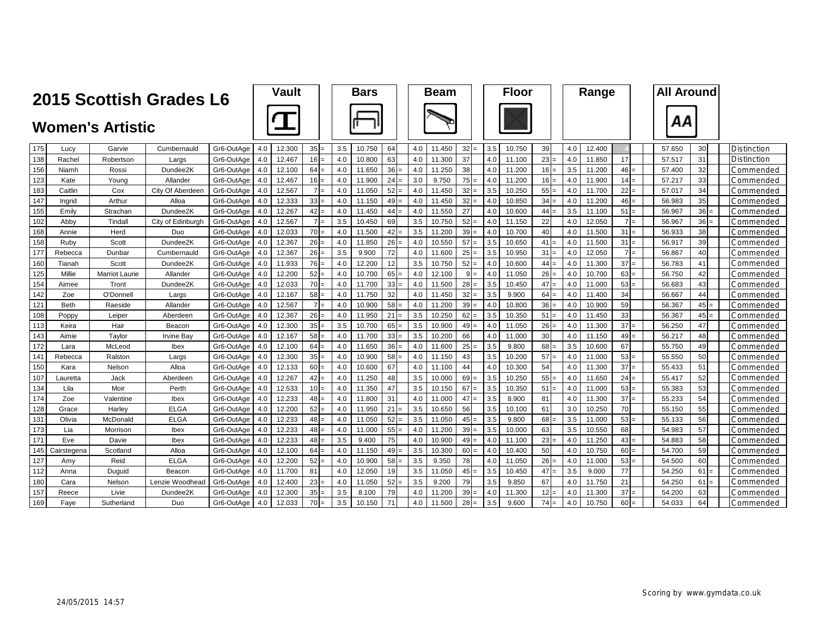|     | 2015 Scottish Grades L6                                                |                       |                   |            |     | Vault  |                |     | <b>Bars</b> |           |            | <b>Beam</b> |                |     | <b>Floor</b> |                 |     | Range  |           | <b>All Around</b> |        |                    |
|-----|------------------------------------------------------------------------|-----------------------|-------------------|------------|-----|--------|----------------|-----|-------------|-----------|------------|-------------|----------------|-----|--------------|-----------------|-----|--------|-----------|-------------------|--------|--------------------|
|     | <b>Women's Artistic</b><br>Gr6-OutAge<br>Cumbernauld<br>Lucy<br>Garvie |                       |                   |            |     |        |                |     |             |           |            |             |                |     |              |                 |     |        |           | ΑА                |        |                    |
| 175 |                                                                        |                       |                   |            | 4.0 | 12.300 | $35 =$         | 3.5 | 10.750      | 64        | 4.0        | 11.450      | 32             | 3.5 | 10.750       | 39              | 4.0 | 12.400 |           | 57.650            | 30     | <b>Distinction</b> |
| 138 | Rachel                                                                 | Robertson             | Largs             | Gr6-OutAge | 4.0 | 12.467 | 16             | 4.0 | 10.800      | 63        | 4.0        | 11.300      | 37             | 4.0 | 11.100       | 23              | 4.0 | 11.850 | 17        | 57.517            | 31     | Distinction        |
| 156 | Niamh                                                                  | Rossi                 | Dundee2K          | Gr6-OutAge | 4.0 | 12.100 | 64             | 4.0 | 11.650      | $36 =$    | 4.0        | 11.250      | 38             | 4.0 | 11.200       | 16              | 3.5 | 11.200 | $46 =$    | 57.400            | 32     | Commended          |
| 123 | Kate                                                                   | Young                 | Allander          | Gr6-OutAge | 4.0 | 12.467 | 16             | 4.0 | 11.900      | 24        | 3.0<br>l=  | 9.750       | 75             | 4.0 | 11.200       | 16              | 4.0 | 11.900 | 14<br>$=$ | 57.217            | 33     | Commended          |
| 183 | Caitlin                                                                | Cox                   | City Of Aberdeer  | Gr6-OutAge | 4.0 | 12.567 | 7 <sup>1</sup> | 4.0 | 11.050      | 52<br>$=$ | 4.0        | 11.450      | 32             | 3.5 | 10.250       | 55              | 4.0 | 11.700 | 22        | 57.017            | 34     | Commended          |
| 147 | Ingrid                                                                 | Arthur                | Alloa             | Gr6-OutAge | 4.0 | 12.333 | 33             | 4.0 | 11.150      | 49        | 4.0<br>$=$ | 11.450      | 32             | 4.0 | 10.850       | 34              | 4.0 | 11.200 | $46 =$    | 56.983            | 35     | Commended          |
| 155 | Emily                                                                  | Strachan              | Dundee2K          | Gr6-OutAge | 4.0 | 12.267 | 42             | 4.0 | 11.450      | 44        | 4.0<br>l=  | 11.550      | 27             | 4.0 | 10.600       | 44              | 3.5 | 11.100 | 51        | 56.967            | $36 =$ | Commended          |
| 102 | Abby                                                                   | Tindall               | City of Edinburgh | Gr6-OutAge | 4.0 | 12.567 | 7 <sup>1</sup> | 3.5 | 10.450      | 69        | 3.5        | 10.750      | 52             | 4.0 | 11.150       | 22              | 4.0 | 12.050 | $7 =$     | 56.967            | $36 =$ | Commended          |
| 168 | Annie                                                                  | Herd                  | Duo               | Gr6-OutAge | 4.0 | 12.033 | 70             | 4.0 | 11.500      |           | 3.5        | 11.200      | 39             | 4.0 | 10.700       | 40              | 4.0 | 11.500 | 31<br>$=$ | 56.933            | 38     | Commended          |
| 158 | Ruby                                                                   | Scott                 | Dundee2K          | Gr6-OutAge | 4.0 | 12.367 | 26             | 4.0 | 11.850      | $26 =$    | 4.0        | 10.550      | 57             | 3.5 | 10.650       | 41              | 4.0 | 11.500 | 31<br>$=$ | 56.917            | 39     | Commended          |
| 177 | Rebecca                                                                | Dunbar                | Cumbernauld       | Gr6-OutAge | 4.0 | 12.367 | 26             | 3.5 | 9.900       | 72        | 4.0        | 11.600      | 25<br>$\equiv$ | 3.5 | 10.950       | 31              | 4.0 | 12.050 | $7 =$     | 56.867            | 40     | .`ommended         |
| 160 | Tianah                                                                 | Scott                 | Dundee2K          | Gr6-OutAge | 4.0 | 11.933 | 76             | 4.0 | 12.200      | 12        | 3.5        | 10.750      | 52             | 4.0 | 10.600       | 44              | 4.0 | 11.300 | 37        | 56.783            | 41     | Commended          |
| 125 | Millie                                                                 | <b>Marriot Laurie</b> | Allander          | Gr6-OutAge | 4.0 | 12.200 | 52             | 4.0 | 10.700      | $65 =$    | 4.0        | 12.100      | $9 =$          | 4.0 | 11.050       | 26 <sub>1</sub> | 4.0 | 10.700 | $63 =$    | 56.750            | 42     | Commended          |
| 154 | Aimee                                                                  | Tront                 | Dundee2K          | Gr6-OutAge | 4.0 | 12.033 | 70             | 4.0 | 11.700      | $33 =$    | 4.0        | 11.500      | 28<br>$=$      | 3.5 | 10.450       | 47              | 4.0 | 11.000 | $53 =$    | 56.683            | 43     | Commended          |
| 142 | Zoe                                                                    | O'Donnell             | Largs             | Gr6-OutAge | 4.0 | 12.167 | 58             | 4.0 | 11.750      | 32        | 4.0        | 11.450      | 32             | 3.5 | 9.900        | 64              | 4.0 | 11.400 | 34        | 56.667            | 44     | Commended          |
| 121 | <b>Beth</b>                                                            | Raeside               | Allander          | Gr6-OutAge | 4.0 | 12.567 | $7 \,$         | 4.0 | 10.900      | $58 =$    | 4.0        | 11.200      | $39 =$         | 4.0 | 10.800       | 36 <sub>1</sub> | 4.0 | 10.900 | 59        | 56.367            | $45 =$ | Commended          |
| 108 | Poppy                                                                  | Leiper                | Aberdeer          | Gr6-OutAge | 4.0 | 12.367 | 26             | 4.0 | 11.950      | 21        | 3.5<br>$=$ | 10.250      | 62             | 3.5 | 10.350       | 51              | 4.0 | 11.450 | 33        | 56.367            | $45 =$ | Commended          |
| 113 | Keira                                                                  | Hair                  | Beacon            | Gr6-OutAge | 4.0 | 12.300 | 35             | 3.5 | 10.700      | $65 =$    | 3.5        | 10.900      | 49<br>$\equiv$ | 4.0 | 11.050       | 26              | 4.0 | 11.300 | 37        | 56.250            | 47     | Commended          |
| 143 | Aimie                                                                  | Taylor                | lrvine Ba         | Gr6-OutAge | 4.0 | 12.167 | 58             | 4.0 | 11.700      | $33 =$    | 3.5        | 10.200      | 66             | 4.0 | 11.000       | 30              | 4.0 | 11.150 | $49 =$    | 56.217            | 48     | Commended          |
| 172 | Lara                                                                   | McLeod                | Ibex              | Gr6-OutAge | 4.0 | 12.100 | 64             | 4.0 | 11.650      | $36 =$    | 4.0        | 11.600      | 25             | 3.5 | 9.800        | 68              | 3.5 | 10.600 | 67        | 55.750            | 49     | Commended          |
| 141 | Rebecca                                                                | Ralston               | Largs             | Gr6-OutAge | 4.0 | 12.300 | 35             | 4.0 | 10.900      | 58        | 4.0<br>l=  | 11.150      | 43             | 3.5 | 10.200       | 57              | 4.0 | 11.000 | 53<br>$=$ | 55.550            | 50     | Commended          |
| 150 | Kara                                                                   | Nelson                | Alloa             | Gr6-OutAge | 4.0 | 12.133 | 60             | 4.0 | 10.600      | 67        | 4.0        | 11.100      | 44             | 4.0 | 10.300       | 54              | 4.0 | 11.300 | 37        | 55.433            | 51     | Jommended          |
| 107 | Lauretta                                                               | Jack                  | Aberdeen          | Gr6-OutAge | 4.0 | 12.267 | 42             | 4.0 | 11.250      | 48        | 3.5        | 10.000      | 69             | 3.5 | 10.250       | 55              | 4.0 | 11.650 | 24<br>$=$ | 55.417            | 52     | Commended          |
| 134 | Lila                                                                   | Moir                  | Perth             | Gr6-OutAge | 4.0 | 12.533 | 10             | 4.0 | 11.350      | 47        | 3.5        | 10.150      | 67             | 3.5 | 10.350       | 51              | 4.0 | 11.000 | $53 =$    | 55.383            | 53     | Commended          |
| 174 | Zoe                                                                    | Valentine             | Ibex              | Gr6-OutAae | 4.0 | 12.233 | 48             | 4.0 | 11.800      | 31        | 4.0        | 11.000      | 47             | 3.5 | 8.900        | 81              | 4.0 | 11.300 | 37        | 55.233            | 54     | Commended          |
| 128 | Grace                                                                  | Harley                | <b>ELGA</b>       | Gr6-OutAae | 4.0 | 12.200 | 52             | 4.0 | 11.950      | 21        | 3.5<br>$=$ | 10.650      | 56             | 3.5 | 10.100       | 61              | 3.0 | 10.250 | 70        | 55.150            | 55     | Commended          |
| 131 | Olivia                                                                 | McDonald              | <b>ELGA</b>       | Gr6-OutAge | 4.0 | 12.233 | 48             | 4.0 | 11.050      | 52        | 3.5<br>$=$ | 11.050      | 45             | 3.5 | 9.800        | 68              | 3.5 | 11.000 | 53<br>$=$ | 55.133            | 56     | Commended          |
| 173 | Lia                                                                    | Morrison              | Ibex              | Gr6-OutAge | 4.0 | 12.233 | 48             | 4.0 | 11.000      | $55 =$    | 4.0        | 11.200      | $39 =$         | 3.5 | 10.000       | 63              | 3.5 | 10.550 | 68        | 54.983            | 57     | Commended          |
| 171 | Eve                                                                    | Davie                 | Ibex              | Gr6-OutAge | 4.0 | 12.233 | 48             | 3.5 | 9.400       | 75        | 4.0        | 10.900      | 49             | 4.0 | 11.100       | 23              | 4.0 | 11.250 | 43        | 54.883            | 58     | Commended          |
| 145 | Cairstegena                                                            | Scotland              | Alloa             | Gr6-OutAge | 4.0 | 12.100 | 64             | 4.0 | 11.150      | $49 =$    | 3.5        | 10.300      | $60 =$         | 4.0 | 10.400       | 50              | 4.0 | 10.750 | $60 =$    | 54.700            | 59     | Commended          |
| 127 | Amv                                                                    | Reid                  | <b>ELGA</b>       | Gr6-OutAae | 4.0 | 12.200 | 52             | 4.0 | 10.900      | $58 =$    | 3.5        | 9.350       | 78             | 4.0 | 11.050       | 26              | 4.0 | 11.000 | 53<br>l=  | 54.500            | 60     | Commended          |
| 112 | Anna                                                                   | Duguid                | Beacon            | Gr6-OutAge | 4.0 | 11.700 | 81             | 4.0 | 12.050      | 19        | 3.5        | 11.050      | 45             | 3.5 | 10.450       | 47              | 3.5 | 9.000  | 77        | 54.250            | 61     | Commended          |
| 180 | Cara                                                                   | Nelson                | Lenzie Woodhea    | Gr6-OutAge | 4.0 | 12.400 | 23             | 4.0 | 11.050      | 52        | 3.5<br>$=$ | 9.200       | 79             | 3.5 | 9.850        | 67              | 4.0 | 11.750 | 21        | 54.250            | 61     | Commended          |
| 157 | Reece                                                                  | Livie                 | Dundee2K          | Gr6-OutAge | 4.0 | 12.300 | 35             | 3.5 | 8.100       | 79        | 4.0        | 11.200      | 39             | 4.0 | 11.300       | 12              | 4.0 | 11.300 | 37        | 54.200            | 63     | iended<br>∶omn     |
| 169 | Fave                                                                   | Sutherland            | Duo               | Gr6-OutAge | 4.0 | 12.033 | 70             | 3.5 | 10.150      | 71        | 4.0        | 11.500      | 28             | 3.5 | 9.600        | 74              | 4.0 | 10.750 | 60        | 54.033            | 64     | Commended          |